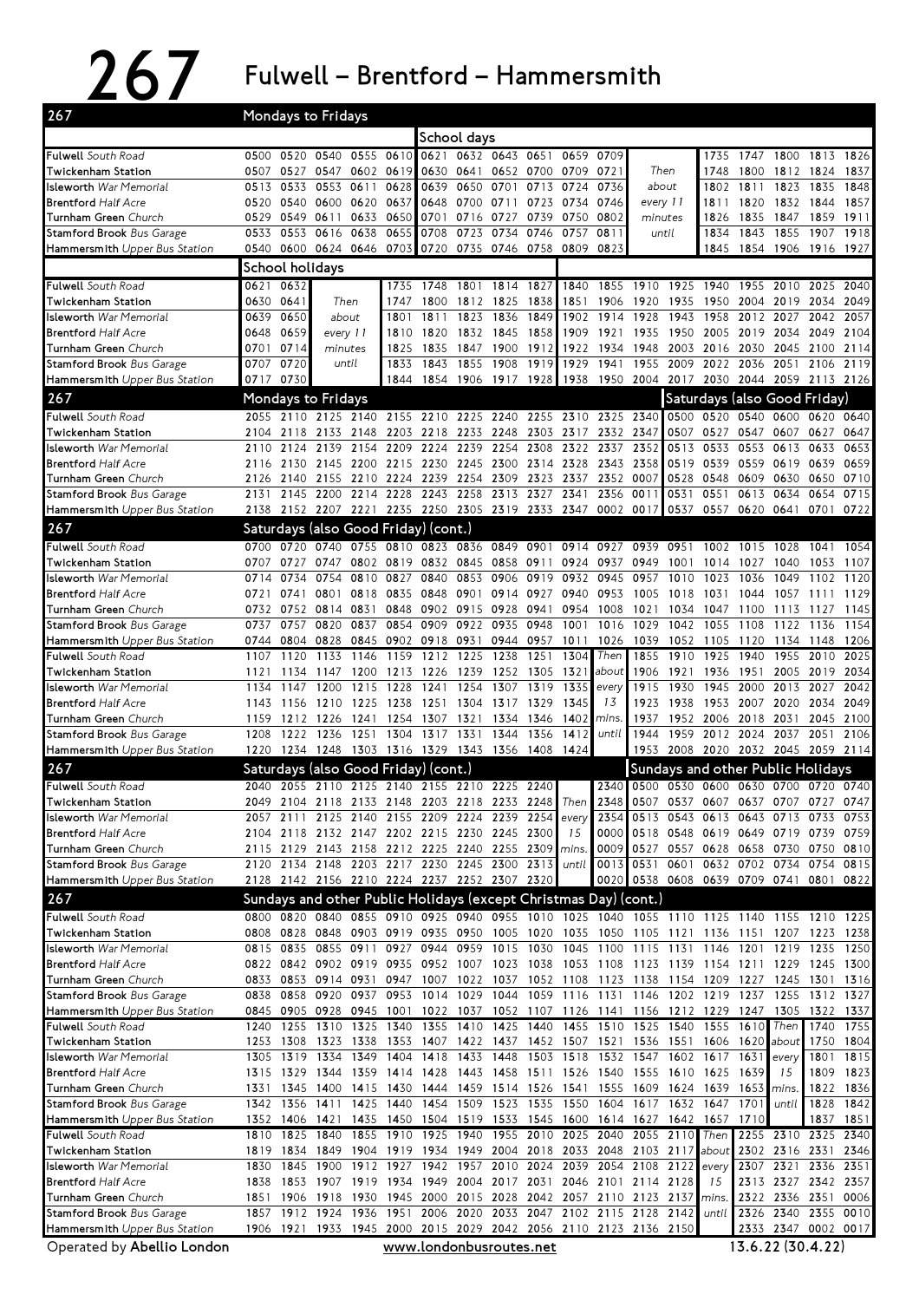267 Fulwell – Brentford – Hammersmith

| 267                                                          | Mondays to Fridays                                |                        |                |                                                                                      |              |                         |                               |                   |                |              |                                         |                                                                                                                                 |                               |              |                        |                   |                                                                                           |              |
|--------------------------------------------------------------|---------------------------------------------------|------------------------|----------------|--------------------------------------------------------------------------------------|--------------|-------------------------|-------------------------------|-------------------|----------------|--------------|-----------------------------------------|---------------------------------------------------------------------------------------------------------------------------------|-------------------------------|--------------|------------------------|-------------------|-------------------------------------------------------------------------------------------|--------------|
|                                                              |                                                   |                        |                |                                                                                      |              |                         | School days                   |                   |                |              |                                         |                                                                                                                                 |                               |              |                        |                   |                                                                                           |              |
| <b>Fulwell</b> South Road                                    |                                                   | 0500 0520              | 0540           | 0555                                                                                 | 0610         |                         | 0621 0632 0643 0651           |                   |                | 0659         | 0709                                    |                                                                                                                                 |                               | 1735         | 1747                   | 1800              | 1813                                                                                      | 1826         |
| Twickenham Station                                           | 0507                                              | 0527                   | 0547           | 0602                                                                                 | 0619         | 0630                    | 0641                          |                   | 0652 0700 0709 |              | 0721                                    | Then                                                                                                                            |                               | 1748         | 1800                   | 1812              | 1824                                                                                      | 1837         |
| I <b>sleworth</b> War Memorial                               | 0513                                              | 0533                   | 0553           | 0611                                                                                 | 0628         | 0639                    | 0650                          | 0701              | 0713           | 0724         | 0736                                    | about                                                                                                                           |                               | 1802         | 1811                   | 1823              | 1835                                                                                      | 1848         |
| <b>Brentford Half Acre</b>                                   | 0520                                              | 0540                   | 0600           | 0620                                                                                 | 0637         | 0648                    | 0700                          | 0711              | 0723           | 0734         | 0746                                    | every 11                                                                                                                        |                               | 1811         | 1820                   | 1832              | 1844                                                                                      | 1857         |
| Turnham Green Church                                         | 0529                                              | 0549                   | 0611           | 0633                                                                                 | 0650         | 0701                    | 0716                          | 0727              | 0739           | 0750         | 0802                                    | minutes                                                                                                                         |                               | 1826         | 1835                   | 1847              | 1859                                                                                      | 1911         |
| <b>Stamford Brook</b> Bus Garage                             | 0533                                              | 0553                   | 0616           | 0638                                                                                 | 0655         | 0708                    | 0723                          | 0734              | 0746           | 0757         | 0811                                    | until                                                                                                                           |                               | 1834         | 1843                   | 1855              | 1907                                                                                      | 1918         |
| Hammersmith Upper Bus Station                                | 0540 0600<br>0624 0646<br>0703<br>School holidays |                        |                |                                                                                      |              |                         | 0720 0735 0746 0758 0809      |                   |                |              | 0823                                    |                                                                                                                                 |                               | 1845         | 1854 1906              |                   | 1916 1927                                                                                 |              |
|                                                              |                                                   |                        |                |                                                                                      |              |                         |                               |                   |                |              |                                         |                                                                                                                                 |                               |              |                        |                   |                                                                                           |              |
| <b>Fulwell</b> South Road                                    |                                                   | 0621 0632<br>0630 0641 | Then           |                                                                                      | 1735<br>1747 | 1748                    | 1801                          | 1814              | 1827           | 1840         | 1855                                    | 1910                                                                                                                            | 1925                          | 1940         | 2004 2019              | 1955 2010         | 2025                                                                                      | 2040         |
| Twickenham Station<br>I <b>sleworth</b> War Memorial         | 0639                                              | 0650                   | about          |                                                                                      | 1801         | 1800<br>1811            | 1812<br>1823                  | 1825<br>1836      | 1838<br>1849   | 1851<br>1902 | 1906<br>1914                            | 1920<br>1928                                                                                                                    | 1935<br>1943                  | 1950<br>1958 | 2012                   | 2027              | 2034<br>2042                                                                              | 2049<br>2057 |
| <b>Brentford Half Acre</b>                                   | 0648                                              | 0659                   | every 11       |                                                                                      | 1810         | 1820                    | 1832                          | 1845 1858         |                | 1909         | 1921                                    | 1935 1950                                                                                                                       |                               |              | 2005 2019 2034         |                   | 2049                                                                                      | 2104         |
| Turnham Green Church                                         |                                                   | 0701 0714              | minutes        |                                                                                      | 1825         | 1835                    | 1847                          | 1900              | 1912           | 1922         | 1934                                    | 1948 2003                                                                                                                       |                               | 2016         | 2030 2045              |                   | 2100                                                                                      | 2114         |
| <b>Stamford Brook</b> Bus Garage                             | 0707                                              | 0720                   | until          |                                                                                      | 1833         | 1843                    | 1855                          | 1908              | 1919           | 1929         | 1941                                    | 1955                                                                                                                            | 2009                          | 2022         | 2036                   | 2051              | 2106                                                                                      | 2119         |
| Hammersmith Upper Bus Station                                |                                                   | 0717 0730              |                |                                                                                      |              |                         | 1844 1854 1906 1917 1928      |                   |                | 1938         |                                         | 1950 2004 2017 2030 2044 2059                                                                                                   |                               |              |                        |                   | 2113 2126                                                                                 |              |
| 267                                                          |                                                   | Mondays to Fridays     |                |                                                                                      |              |                         |                               |                   |                |              |                                         |                                                                                                                                 |                               |              |                        |                   | Saturdays (also Good Friday)                                                              |              |
| <b>Fulwell</b> South Road                                    |                                                   |                        |                | 2055 2110 2125 2140 2155 2210 2225 2240 2255 2310 2325 2340                          |              |                         |                               |                   |                |              |                                         |                                                                                                                                 | 0500                          | 0520         |                        |                   | 0540 0600 0620 0640                                                                       |              |
| Twickenham Station                                           | 2104                                              | 2118                   | 2133 2148      |                                                                                      |              |                         |                               |                   |                |              | 2203 2218 2233 2248 2303 2317 2332 2347 |                                                                                                                                 | 0507                          | 0527         | 0547 0607              |                   | 0627                                                                                      | 0647         |
| <b>Isleworth</b> War Memorial                                | 2110                                              | 2124                   | 2139           | 2154                                                                                 | 2209         | 2224                    | 2239                          | 2254              | 2308           | 2322         | 2337                                    | 2352                                                                                                                            | 0513                          | 0533         |                        | 0553 0613         | 0633                                                                                      | 0653         |
| <b>Brentford Half Acre</b>                                   | 2116                                              |                        |                | 2130 2145 2200 2215 2230 2245 2300 2314 2328 2343 2358                               |              |                         |                               |                   |                |              |                                         |                                                                                                                                 | 0519                          | 0539         | 0559 0619              |                   | 0639                                                                                      | 0659         |
| Turnham Green Church                                         | 2126                                              | 2140                   |                | 2155 2210                                                                            |              | 2224 2239 2254          |                               | 2309 2323         |                | 2337         | 2352 0007                               |                                                                                                                                 | 0528                          | 0548         | 0609 0630              |                   | 0650                                                                                      | 0710         |
| <b>Stamford Brook</b> Bus Garage                             | 2131                                              | 2145                   | 2200           | 2214                                                                                 | 2228         | 2243 2258               |                               |                   | 2313 2327      | 2341         | 2356                                    | 0011                                                                                                                            | 0531                          | 0551         | 0613                   | 0634              | 0654                                                                                      | 0715         |
| Hammersmith Upper Bus Station                                | 2138                                              |                        |                | 2152 2207 2221 2235 2250 2305 2319 2333 2347 0002 0017                               |              |                         |                               |                   |                |              |                                         |                                                                                                                                 |                               |              | 0537 0557 0620 0641    |                   | 0701 0722                                                                                 |              |
| 267                                                          |                                                   |                        |                | Saturdays (also Good Friday) (cont.)                                                 |              |                         |                               |                   |                |              |                                         |                                                                                                                                 |                               |              |                        |                   |                                                                                           |              |
| <b>Fulwell</b> South Road                                    |                                                   | 0700 0720              | 0740           |                                                                                      |              |                         | 0755 0810 0823 0836 0849 0901 |                   |                |              | 0914 0927                               | 0939 0951                                                                                                                       |                               |              | 1002 1015 1028         |                   | 1041                                                                                      | 1054         |
| Twickenham Station                                           | 0707                                              | 0727                   | 0747           | 0802                                                                                 |              | 0819 0832 0845<br>0840  |                               | 0858              | 0911           | 0924         | 0937                                    | 0949 1001                                                                                                                       |                               | 1014         | 1027                   | 1040              | 1053                                                                                      | 1107         |
| I <b>sleworth</b> War Memorial<br><b>Brentford Half Acre</b> | 0714<br>0721                                      | 0734<br>0741           | 0754<br>0801   | 0810<br>0818                                                                         | 0827         |                         | 0853<br>0835 0848 0901        | 0906<br>0914 0927 | 0919           | 0932<br>0940 | 0945<br>0953                            | 0957<br>1005 1018                                                                                                               | 1010                          | 1023<br>1031 | 1036                   | 1049<br>1044 1057 | 1102<br>1111                                                                              | 1120<br>1129 |
| <b>Turnham Green</b> Church                                  | 0732                                              | 0752                   | 0814 0831      |                                                                                      | 0848         | 0902                    | 0915                          | 0928              | 0941           | 0954         | 1008                                    | 1021                                                                                                                            | 1034                          | 1047         | 1100                   | 1113              | 1127                                                                                      | 1145         |
| <b>Stamford Brook</b> Bus Garage                             | 0737                                              | 0757                   | 0820           | 0837                                                                                 | 0854         | 0909                    | 0922                          | 0935              | 0948           | 1001         | 1016                                    | 1029                                                                                                                            | 1042                          | 1055         | 1108                   | 1122              | 1136                                                                                      | 1154         |
| Hammersmith Upper Bus Station                                | 0744                                              | 0804                   | 0828           | 0845                                                                                 |              | 0902 0918 0931          |                               |                   | 0944 0957      | 1011         | 1026                                    | 1039                                                                                                                            | 1052                          | 1105         | 1120                   | 1134              | 1148                                                                                      | 1206         |
| Fulwell South Road                                           | 1107                                              | 1120                   | 1133           | 1146                                                                                 | 1159         | 1212                    | 1225                          | 1238              | 1251           | 1304         | Then                                    | 1855                                                                                                                            | 1910                          | 1925         | 1940                   | 1955              | 2010                                                                                      | 2025         |
| Twickenham Station                                           | 1121                                              | 1134                   | 1147           | 1200                                                                                 | 1213         | 1226                    | 1239                          | 1252              | 1305           | 1321         | about                                   | 1906                                                                                                                            | 1921                          | 1936         | 1951                   | 2005              | 2019                                                                                      | 2034         |
| I <b>sleworth</b> War Memorial                               | 1134                                              | 1147                   | 1200           | 1215                                                                                 | 1228         | 1241                    | 1254                          | 1307              | 1319           | 1335         | every                                   | 1915                                                                                                                            | 1930                          | 1945         | 2000                   | 2013              | 2027                                                                                      | 2042         |
| <b>Brentford Half Acre</b>                                   | 1143                                              |                        | 1156 1210      | 1225                                                                                 |              | 1238 1251 1304          |                               | 1317 1329         |                | 1345         | 13                                      | 1923                                                                                                                            | 1938                          | 1953         | 2007 2020              |                   | 2034                                                                                      | 2049         |
| Turnham Green Church<br>Stamford Brook Bus Garage            | 1159<br>1208                                      | 1212<br>1222           | 1226<br>1236   | 1241<br>1251                                                                         | 1304         | 1254 1307<br>1317       | 1321<br>1331                  | 1334<br>1344      | 1346<br>1356   | 1402<br>1412 | mins.<br>until                          | 1937<br>1944                                                                                                                    | 1952<br>1959                  | 2006<br>2012 | 2018 2031<br>2024 2037 |                   | 2045<br>2051                                                                              | 2100<br>2106 |
| Hammersmith Upper Bus Station                                |                                                   |                        |                | 1220 1234 1248 1303 1316 1329 1343 1356 1408 1424                                    |              |                         |                               |                   |                |              |                                         |                                                                                                                                 |                               |              |                        |                   | 1953 2008 2020 2032 2045 2059 2114                                                        |              |
| 267                                                          |                                                   |                        |                |                                                                                      |              |                         |                               |                   |                |              |                                         |                                                                                                                                 |                               |              |                        |                   |                                                                                           |              |
| <b>Fulwell</b> South Road                                    |                                                   |                        |                | Saturdays (also Good Friday) (cont.)<br>2040 2055 2110 2125 2140 2155 2210 2225 2240 |              |                         |                               |                   |                |              | 2340                                    |                                                                                                                                 |                               |              |                        |                   | Sundays and other Public Holidays<br>0500 0530 0600 0630 0700 0720 0740                   |              |
| Twickenham Station                                           | 2049                                              |                        |                | 2104 2118 2133 2148 2203 2218 2233 2248 Then 2348                                    |              |                         |                               |                   |                |              |                                         |                                                                                                                                 | 0507 0537                     | 0607         | 0637 0707              |                   | 0727                                                                                      | 0747         |
| I <b>sleworth</b> War Memorial                               | 2057                                              | 2111                   |                | 2125 2140 2155 2209 2224 2239 2254                                                   |              |                         |                               |                   |                | every        | 2354                                    |                                                                                                                                 | 0513 0543 0613 0643 0713 0733 |              |                        |                   |                                                                                           | 0753         |
| <b>Brentford Half Acre</b>                                   |                                                   |                        |                | 2104 2118 2132 2147 2202 2215 2230 2245 2300                                         |              |                         |                               |                   |                | 15           | 0000                                    |                                                                                                                                 | 0518 0548 0619 0649 0719      |              |                        |                   | 0739 0759                                                                                 |              |
| Turnham Green Church                                         |                                                   |                        |                | 2115 2129 2143 2158 2212 2225 2240 2255 2309 mins.                                   |              |                         |                               |                   |                |              |                                         | 0009 0527 0557 0628 0658 0730                                                                                                   |                               |              |                        |                   | 0750 0810                                                                                 |              |
| Stamford Brook Bus Garage                                    |                                                   |                        |                | 2120 2134 2148 2203 2217 2230 2245 2300 2313 until                                   |              |                         |                               |                   |                |              | 0013                                    |                                                                                                                                 | 0531 0601 0632 0702 0734      |              |                        |                   | 0754                                                                                      | 0815         |
| Hammersmith Upper Bus Station                                |                                                   |                        |                | 2128 2142 2156 2210 2224 2237 2252 2307 2320                                         |              |                         |                               |                   |                |              |                                         | 0020 0538 0608 0639 0709 0741                                                                                                   |                               |              |                        |                   | 0801 0822                                                                                 |              |
| 267                                                          |                                                   |                        |                |                                                                                      |              |                         |                               |                   |                |              |                                         | Sundays and other Public Holidays (except Christmas Day) (cont.)                                                                |                               |              |                        |                   |                                                                                           |              |
| Fulwell South Road                                           |                                                   |                        |                |                                                                                      |              |                         |                               |                   |                |              |                                         |                                                                                                                                 |                               |              |                        |                   | 0800 0820 0840 0855 0910 0925 0940 0955 1010 1025 1040 1055 1110 1125 1140 1155 1210 1225 |              |
| Twickenham Station                                           |                                                   |                        |                |                                                                                      |              |                         |                               |                   |                |              |                                         |                                                                                                                                 |                               |              |                        |                   | 0808 0828 0848 0903 0919 0935 0950 1005 1020 1035 1050 1105 1121 1136 1151 1207 1223 1238 |              |
| I <b>sleworth</b> War Memorial                               |                                                   | 0815 0835              |                | 0855 0911                                                                            |              |                         | 0927 0944 0959 1015 1030      |                   |                |              |                                         | 1045 1100 1115 1131 1146                                                                                                        |                               |              | 1201 1219              |                   | 1235                                                                                      | 1250         |
| <b>Brentford Half Acre</b>                                   |                                                   |                        |                |                                                                                      |              |                         |                               |                   |                |              |                                         |                                                                                                                                 |                               |              |                        |                   | 0822 0842 0902 0919 0935 0952 1007 1023 1038 1053 1108 1123 1139 1154 1211 1229 1245 1300 |              |
| Turnham Green Church<br>Stamford Brook Bus Garage            | 0838                                              | 0833 0853 0914 0931    |                | 0858 0920 0937 0953 1014 1029                                                        |              |                         |                               |                   |                |              |                                         | 0947 1007 1022 1037 1052 1108 1123 1138 1154 1209 1227 1245 1301<br>1044 1059 1116 1131 1146 1202 1219                          |                               |              | 1237 1255              |                   | 1312                                                                                      | 1316<br>1327 |
| Hammersmith Upper Bus Station                                |                                                   |                        |                |                                                                                      |              |                         |                               |                   |                |              |                                         | 0845 0905 0928 0945 1001 1022 1037 1052 1107 1126 1141 1156 1212 1229 1247 1305                                                 |                               |              |                        |                   | 1322 1337                                                                                 |              |
| Fulwell South Road                                           | 1240                                              | 1255                   | 1310           | 1325                                                                                 | 1340         | 1355 1410               |                               |                   | 1425 1440      |              |                                         | 1455 1510 1525 1540                                                                                                             |                               | 1555         | 1610                   | Then              | 1740                                                                                      | 1755         |
| Twickenham Station                                           | 1253                                              | 1308                   | 1323           | 1338                                                                                 |              | 1353 1407 1422          |                               |                   |                |              | 1437 1452 1507 1521                     |                                                                                                                                 | 1536 1551 1606                |              | 1620                   | about             | 1750                                                                                      | 1804         |
| <b>Isleworth</b> War Memorial                                | 1305                                              | 1319                   | 1334           | 1349                                                                                 | 1404         | 1418                    | 1433                          | 1448              | 1503 1518      |              |                                         | 1532 1547                                                                                                                       | 1602 1617                     |              | 1631                   | every             | 1801                                                                                      | 1815         |
| <b>Brentford Half Acre</b>                                   |                                                   | 1315 1329 1344         |                |                                                                                      |              |                         |                               |                   |                |              |                                         | 1359 1414 1428 1443 1458 1511 1526 1540 1555 1610 1625 1639                                                                     |                               |              |                        | 15                | 1809                                                                                      | 1823         |
| Turnham Green Church                                         | 1331                                              |                        | 1345 1400 1415 |                                                                                      |              |                         |                               |                   |                |              |                                         | 1430 1444 1459 1514 1526 1541 1555 1609 1624 1639                                                                               |                               |              | 1653                   | mins.             | 1822 1836                                                                                 |              |
| <b>Stamford Brook</b> Bus Garage                             |                                                   | 1342 1356 1411         |                |                                                                                      |              |                         |                               |                   |                |              |                                         | 1425 1440 1454 1509 1523 1535 1550 1604 1617 1632 1647                                                                          |                               |              | 1701                   | until             | 1828                                                                                      | 1842         |
| Hammersmith Upper Bus Station                                |                                                   |                        |                |                                                                                      |              |                         |                               |                   |                |              |                                         | 1352 1406 1421 1435 1450 1504 1519 1533 1545 1600 1614 1627 1642 1657<br>1855 1910 1925 1940 1955 2010 2025 2040 2055 2110 Then |                               |              | 1710                   |                   | 1837 1851                                                                                 |              |
| Fulwell South Road<br>Twickenham Station                     | 1819                                              | 1810 1825 1840         |                |                                                                                      |              |                         |                               |                   |                |              |                                         | 1834 1849 1904 1919 1934 1949 2004 2018 2033 2048 2103 2117 about                                                               |                               |              |                        | 2302 2316 2331    | 2255 2310 2325 2340                                                                       | 2346         |
| <b>Isleworth</b> War Memorial                                | 1830                                              | 1845                   | 1900           |                                                                                      |              |                         |                               |                   |                |              |                                         | 1912 1927 1942 1957 2010 2024 2039 2054 2108 2122                                                                               |                               | every        |                        | 2307 2321         | 2336                                                                                      | 2351         |
| <b>Brentford Half Acre</b>                                   | 1838                                              |                        |                |                                                                                      |              |                         |                               |                   |                |              |                                         | 1853 1907 1919 1934 1949 2004 2017 2031 2046 2101 2114 2128                                                                     |                               | 15           |                        |                   | 2313 2327 2342 2357                                                                       |              |
| Turnham Green Church                                         | 1851                                              |                        | 1906 1918      | 1930                                                                                 |              |                         |                               |                   |                |              |                                         | 1945 2000 2015 2028 2042 2057 2110 2123 2137 mins.                                                                              |                               |              |                        | 2322 2336 2351    |                                                                                           | 0006         |
| Stamford Brook Bus Garage                                    | 1857                                              |                        | 1912 1924      | 1936                                                                                 |              |                         |                               |                   |                |              |                                         | 1951 2006 2020 2033 2047 2102 2115 2128 2142                                                                                    |                               | until        |                        | 2326 2340         | 2355 0010                                                                                 |              |
| Hammersmith Upper Bus Station                                |                                                   |                        |                |                                                                                      |              |                         |                               |                   |                |              |                                         | 1906 1921 1933 1945 2000 2015 2029 2042 2056 2110 2123 2136 2150                                                                |                               |              |                        |                   | 2333 2347 0002 0017                                                                       |              |
| Operated by Abellio London                                   |                                                   |                        |                |                                                                                      |              | www.londonbusroutes.net |                               |                   |                |              |                                         |                                                                                                                                 |                               |              |                        | 13.6.22 (30.4.22) |                                                                                           |              |